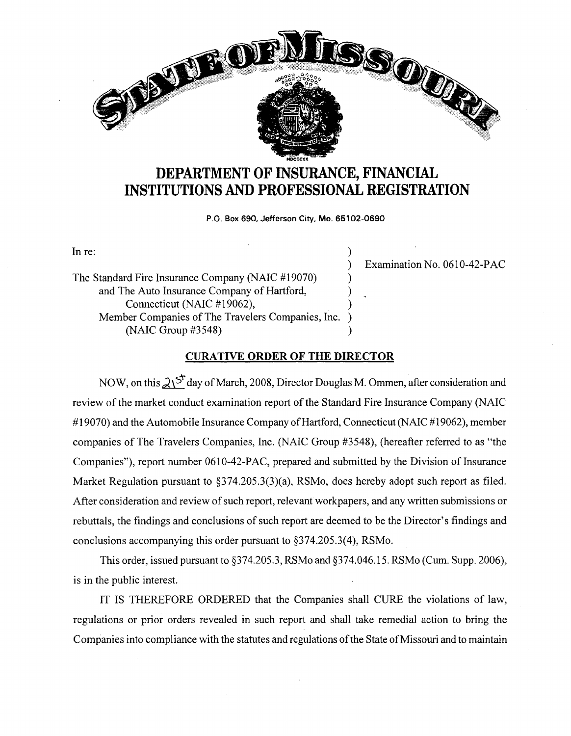

## **DEPARTMENT OF INSURANCE, FINANCIAL INSTITUTIONS AND PROFESSIONAL REGISTRATION**

**P.O. Box 690, Jefferson City, Mo. 65102-0690** 

In re:  $\qquad \qquad$  )

The Standard Fire Insurance Company (NAIC #19070) ) and The Auto Insurance Company of Hartford, ) Connecticut (NAIC #19062), Member Companies of The Travelers Companies, Inc. )  $(NAIC Group #3548)$ 

) Examination No. 0610-42-PAC

## **CURATIVE ORDER OF THE DIRECTOR**

NOW, on this  $2\sqrt{5}$  day of March, 2008, Director Douglas M. Ommen, after consideration and review of the market conduct examination report of the Standard Fire Insurance Company (NAIC #19070) and the Automobile Insurance Company of Hartford, Connecticut (NAIC #19062), member companies of The Travelers Companies, Inc. (NAIC Group #3548), (hereafter referred to as "the Companies"), report number 0610-42-PAC, prepared and submitted by the Division of Insurance Market Regulation pursuant to §374.205.3(3)(a), RSMo, does hereby adopt such report as filed. After consideration and review of such report, relevant workpapers, and any written submissions or rebuttals, the findings and conclusions of such report are deemed to be the Director's findings and conclusions accompanying this order pursuant to §374.205.3(4), RSMo.

This order, issued pursuant to §374.205.3, RSMo and §374.046.15. RSMo (Cum. Supp. 2006), is in the public interest.

IT IS THEREFORE ORDERED that the Companies shall CURE the violations of law, regulations or prior orders revealed in such report and shall take remedial action to bring the Companies into compliance with the statutes and regulations of the State of Missouri and to maintain